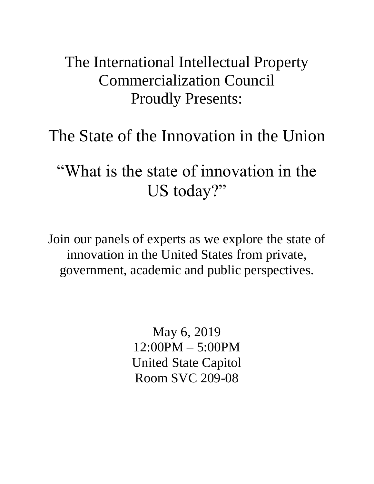## The International Intellectual Property Commercialization Council Proudly Presents:

# The State of the Innovation in the Union

"What is the state of innovation in the US today?"

Join our panels of experts as we explore the state of innovation in the United States from private, government, academic and public perspectives.

> May 6, 2019 12:00PM – 5:00PM United State Capitol Room SVC 209-08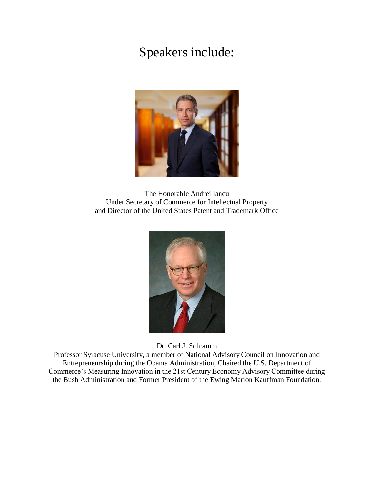#### Speakers include:



The Honorable Andrei Iancu Under Secretary of Commerce for Intellectual Property and Director of the United States Patent and Trademark Office



Dr. Carl J. Schramm

Professor Syracuse University, a member of National Advisory Council on Innovation and Entrepreneurship during the Obama Administration, Chaired the U.S. Department of Commerce's Measuring Innovation in the 21st Century Economy Advisory Committee during the Bush Administration and Former President of the Ewing Marion Kauffman Foundation.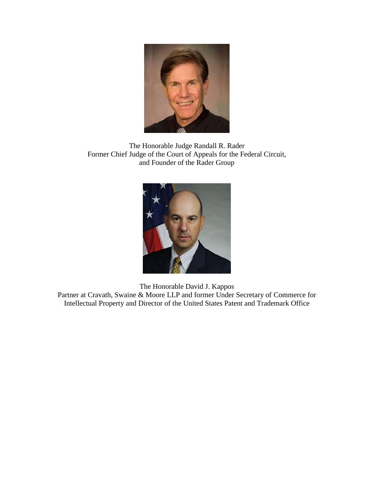

The Honorable Judge Randall R. Rader Former Chief Judge of the Court of Appeals for the Federal Circuit, and Founder of the Rader Group



The Honorable David J. Kappos

Partner at Cravath, Swaine & Moore LLP and former Under Secretary of Commerce for Intellectual Property and Director of the United States Patent and Trademark Office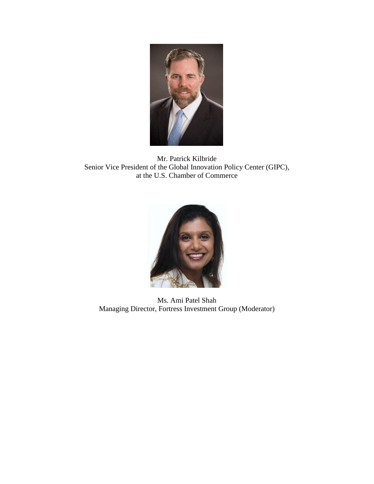

Mr. Patrick Kilbride Senior Vice President of the Global Innovation Policy Center (GIPC), at the U.S. Chamber of Commerce



Ms. Ami Patel Shah Managing Director, Fortress Investment Group (Moderator)